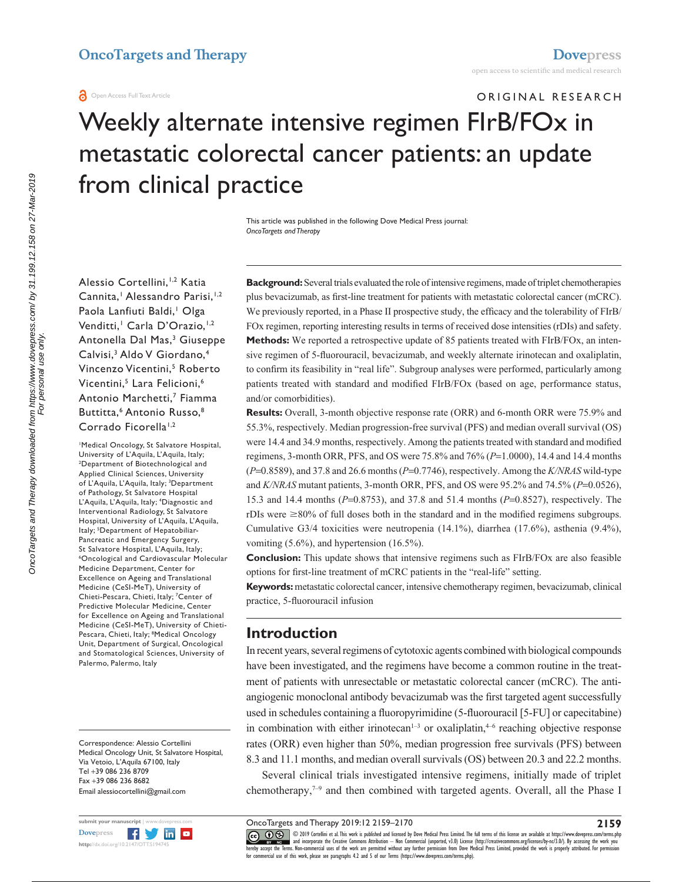#### **O** Open Access Full Text Article

# ORIGINAL RESEARCH Weekly alternate intensive regimen FIrB/FOx in metastatic colorectal cancer patients: an update from clinical practice

This article was published in the following Dove Medical Press journal: *OncoTargets and Therapy*

Alessio Cortellini, 1,2 Katia Cannita,<sup>1</sup> Alessandro Parisi,<sup>1,2</sup> Paola Lanfiuti Baldi,<sup>1</sup> Olga Venditti,<sup>1</sup> Carla D'Orazio,<sup>1,2</sup> Antonella Dal Mas,<sup>3</sup> Giuseppe Calvisi,<sup>3</sup> Aldo V Giordano,<sup>4</sup> Vincenzo Vicentini,<sup>5</sup> Roberto Vicentini,<sup>5</sup> Lara Felicioni,<sup>6</sup> Antonio Marchetti,<sup>7</sup> Fiamma Buttitta.<sup>6</sup> Antonio Russo.<sup>8</sup> Corrado Ficorella<sup>1,2</sup>

1 Medical Oncology, St Salvatore Hospital, University of L'Aquila, L'Aquila, Italy; 2 Department of Biotechnological and Applied Clinical Sciences, University of L'Aquila, L'Aquila, Italy; <sup>3</sup>Department of Pathology, St Salvatore Hospital L'Aquila, L'Aquila, Italy; 4 Diagnostic and Interventional Radiology, St Salvatore Hospital, University of L'Aquila, L'Aquila, Italy; <sup>5</sup>Department of Hepatobiliar-Pancreatic and Emergency Surgery, St Salvatore Hospital, L'Aquila, Italy; Oncological and Cardiovascular Molecular Medicine Department, Center for Excellence on Ageing and Translational Medicine (CeSI-MeT), University of Chieti-Pescara, Chieti, Italy; <sup>7</sup>Center of Predictive Molecular Medicine, Center for Excellence on Ageing and Translational Medicine (CeSI-MeT), University of Chieti-Pescara, Chieti, Italy; <sup>8</sup>Medical Oncology Unit, Department of Surgical, Oncological and Stomatological Sciences, University of Palermo, Palermo, Italy

Correspondence: Alessio Cortellini Medical Oncology Unit, St Salvatore Hospital, Via Vetoio, L'Aquila 67100, Italy Tel +39 086 236 8709 Fax +39 086 236 8682 Email [alessiocortellini@gmail.com](mailto:alessiocortellini@gmail.com)

**Background:** Several trials evaluated the role of intensive regimens, made of triplet chemotherapies plus bevacizumab, as first-line treatment for patients with metastatic colorectal cancer (mCRC). We previously reported, in a Phase II prospective study, the efficacy and the tolerability of FIrB/ FOx regimen, reporting interesting results in terms of received dose intensities (rDIs) and safety. **Methods:** We reported a retrospective update of 85 patients treated with FIrB/FOx, an intensive regimen of 5-fluorouracil, bevacizumab, and weekly alternate irinotecan and oxaliplatin, to confirm its feasibility in "real life". Subgroup analyses were performed, particularly among patients treated with standard and modified FIrB/FOx (based on age, performance status, and/or comorbidities).

**Results:** Overall, 3-month objective response rate (ORR) and 6-month ORR were 75.9% and 55.3%, respectively. Median progression-free survival (PFS) and median overall survival (OS) were 14.4 and 34.9 months, respectively. Among the patients treated with standard and modified regimens, 3-month ORR, PFS, and OS were 75.8% and 76% (*P*=1.0000), 14.4 and 14.4 months (*P*=0.8589), and 37.8 and 26.6 months (*P*=0.7746), respectively. Among the *K/NRAS* wild-type and *K/NRAS* mutant patients, 3-month ORR, PFS, and OS were 95.2% and 74.5% (*P*=0.0526), 15.3 and 14.4 months (*P*=0.8753), and 37.8 and 51.4 months (*P*=0.8527), respectively. The rDIs were  $\geq 80\%$  of full doses both in the standard and in the modified regimens subgroups. Cumulative G3/4 toxicities were neutropenia (14.1%), diarrhea (17.6%), asthenia (9.4%), vomiting (5.6%), and hypertension (16.5%).

**Conclusion:** This update shows that intensive regimens such as FIrB/FOx are also feasible options for first-line treatment of mCRC patients in the "real-life" setting.

**Keywords:** metastatic colorectal cancer, intensive chemotherapy regimen, bevacizumab, clinical practice, 5-fluorouracil infusion

# **Introduction**

In recent years, several regimens of cytotoxic agents combined with biological compounds have been investigated, and the regimens have become a common routine in the treatment of patients with unresectable or metastatic colorectal cancer (mCRC). The antiangiogenic monoclonal antibody bevacizumab was the first targeted agent successfully used in schedules containing a fluoropyrimidine (5-fluorouracil [5-FU] or capecitabine) in combination with either irinotecan<sup> $1-3$ </sup> or oxaliplatin,<sup> $4-6$ </sup> reaching objective response rates (ORR) even higher than 50%, median progression free survivals (PFS) between 8.3 and 11.1 months, and median overall survivals (OS) between 20.3 and 22.2 months.

Several clinical trials investigated intensive regimens, initially made of triplet chemotherapy, $7-9$  and then combined with targeted agents. Overall, all the Phase I

CO OS © 2019 Cortellini et al. This work is published and licensed by Dove Medical Press Limited. The full terms of this license are available at <https://www.dovepress.com/terms.php><br>[hereby accept the Terms](http://www.dovepress.com/permissions.php). Non-commercial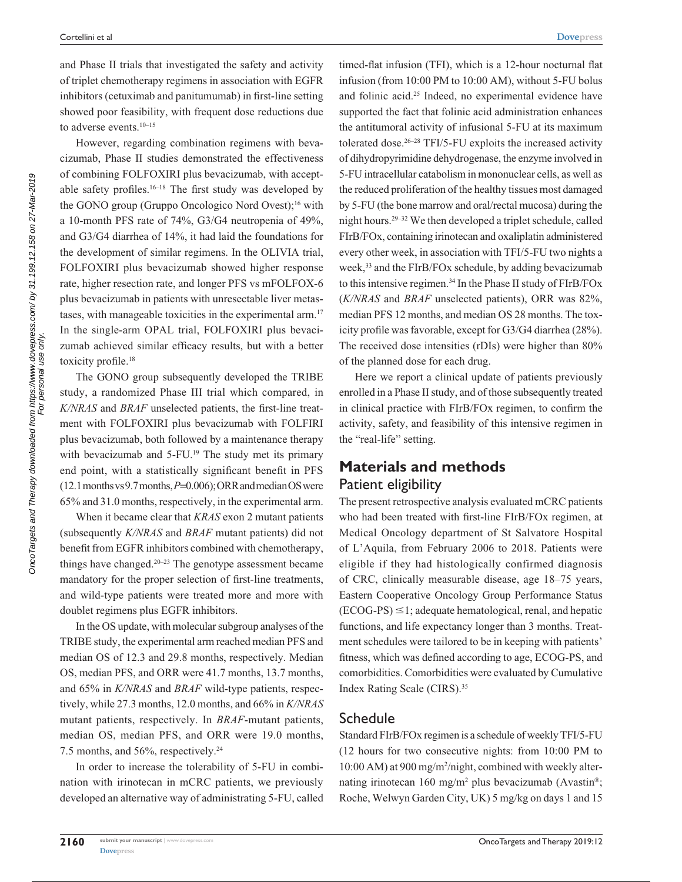and Phase II trials that investigated the safety and activity of triplet chemotherapy regimens in association with EGFR inhibitors (cetuximab and panitumumab) in first-line setting showed poor feasibility, with frequent dose reductions due to adverse events.<sup>10-15</sup>

However, regarding combination regimens with bevacizumab, Phase II studies demonstrated the effectiveness of combining FOLFOXIRI plus bevacizumab, with acceptable safety profiles.<sup>16–18</sup> The first study was developed by the GONO group (Gruppo Oncologico Nord Ovest);<sup>16</sup> with a 10-month PFS rate of 74%, G3/G4 neutropenia of 49%, and G3/G4 diarrhea of 14%, it had laid the foundations for the development of similar regimens. In the OLIVIA trial, FOLFOXIRI plus bevacizumab showed higher response rate, higher resection rate, and longer PFS vs mFOLFOX-6 plus bevacizumab in patients with unresectable liver metastases, with manageable toxicities in the experimental arm.17 In the single-arm OPAL trial, FOLFOXIRI plus bevacizumab achieved similar efficacy results, but with a better toxicity profile.<sup>18</sup>

The GONO group subsequently developed the TRIBE study, a randomized Phase III trial which compared, in *K/NRAS* and *BRAF* unselected patients, the first-line treatment with FOLFOXIRI plus bevacizumab with FOLFIRI plus bevacizumab, both followed by a maintenance therapy with bevacizumab and 5-FU.<sup>19</sup> The study met its primary end point, with a statistically significant benefit in PFS (12.1 months vs 9.7 months, *P*=0.006); ORR and median OS were 65% and 31.0 months, respectively, in the experimental arm.

When it became clear that *KRAS* exon 2 mutant patients (subsequently *K/NRAS* and *BRAF* mutant patients) did not benefit from EGFR inhibitors combined with chemotherapy, things have changed. $20-23$  The genotype assessment became mandatory for the proper selection of first-line treatments, and wild-type patients were treated more and more with doublet regimens plus EGFR inhibitors.

In the OS update, with molecular subgroup analyses of the TRIBE study, the experimental arm reached median PFS and median OS of 12.3 and 29.8 months, respectively. Median OS, median PFS, and ORR were 41.7 months, 13.7 months, and 65% in *K/NRAS* and *BRAF* wild-type patients, respectively, while 27.3 months, 12.0 months, and 66% in *K/NRAS* mutant patients, respectively. In *BRAF*-mutant patients, median OS, median PFS, and ORR were 19.0 months, 7.5 months, and 56%, respectively.24

In order to increase the tolerability of 5-FU in combination with irinotecan in mCRC patients, we previously developed an alternative way of administrating 5-FU, called

timed-flat infusion (TFI), which is a 12-hour nocturnal flat infusion (from 10:00 PM to 10:00 AM), without 5-FU bolus and folinic acid.25 Indeed, no experimental evidence have supported the fact that folinic acid administration enhances the antitumoral activity of infusional 5-FU at its maximum tolerated dose. $26-28$  TFI/5-FU exploits the increased activity of dihydropyrimidine dehydrogenase, the enzyme involved in 5-FU intracellular catabolism in mononuclear cells, as well as the reduced proliferation of the healthy tissues most damaged by 5-FU (the bone marrow and oral/rectal mucosa) during the night hours.29–32 We then developed a triplet schedule, called FIrB/FOx, containing irinotecan and oxaliplatin administered every other week, in association with TFI/5-FU two nights a week,<sup>33</sup> and the FIrB/FOx schedule, by adding bevacizumab to this intensive regimen.<sup>34</sup> In the Phase II study of FIrB/FOx (*K/NRAS* and *BRAF* unselected patients), ORR was 82%, median PFS 12 months, and median OS 28 months. The toxicity profile was favorable, except for G3/G4 diarrhea (28%). The received dose intensities (rDIs) were higher than 80% of the planned dose for each drug.

Here we report a clinical update of patients previously enrolled in a Phase II study, and of those subsequently treated in clinical practice with FIrB/FOx regimen, to confirm the activity, safety, and feasibility of this intensive regimen in the "real-life" setting.

# **Materials and methods** Patient eligibility

The present retrospective analysis evaluated mCRC patients who had been treated with first-line FIrB/FOx regimen, at Medical Oncology department of St Salvatore Hospital of L'Aquila, from February 2006 to 2018. Patients were eligible if they had histologically confirmed diagnosis of CRC, clinically measurable disease, age 18–75 years, Eastern Cooperative Oncology Group Performance Status  $(ECOG-PS) \leq 1$ ; adequate hematological, renal, and hepatic functions, and life expectancy longer than 3 months. Treatment schedules were tailored to be in keeping with patients' fitness, which was defined according to age, ECOG-PS, and comorbidities. Comorbidities were evaluated by Cumulative Index Rating Scale (CIRS).35

#### Schedule

Standard FIrB/FOx regimen is a schedule of weekly TFI/5-FU (12 hours for two consecutive nights: from 10:00 PM to 10:00 AM) at 900 mg/m2 /night, combined with weekly alternating irinotecan 160 mg/m<sup>2</sup> plus bevacizumab (Avastin<sup>®</sup>; Roche, Welwyn Garden City, UK) 5 mg/kg on days 1 and 15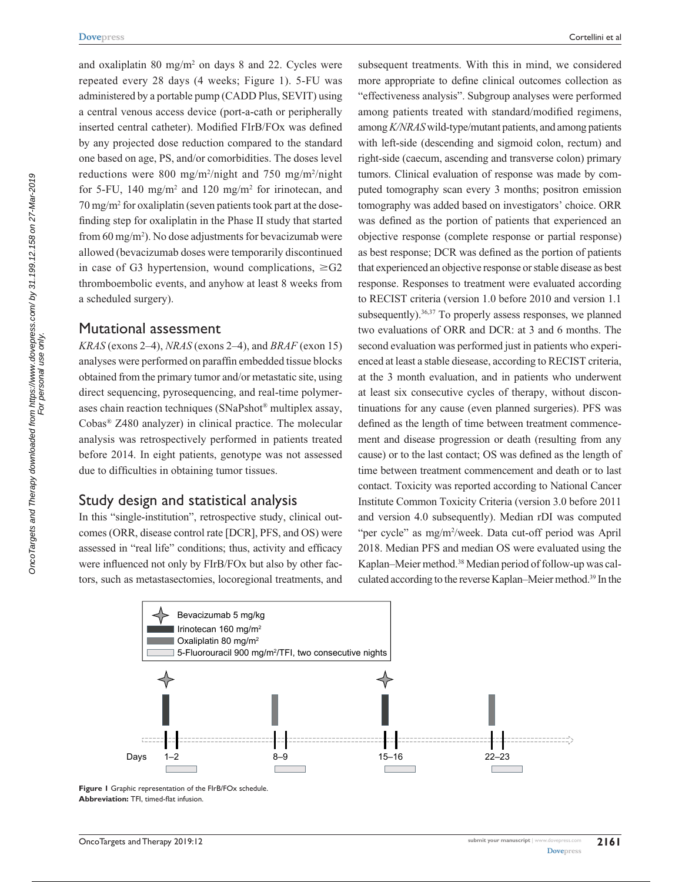and oxaliplatin 80 mg/m<sup>2</sup> on days 8 and 22. Cycles were repeated every 28 days (4 weeks; Figure 1). 5-FU was administered by a portable pump (CADD Plus, SEVIT) using a central venous access device (port-a-cath or peripherally inserted central catheter). Modified FIrB/FOx was defined by any projected dose reduction compared to the standard one based on age, PS, and/or comorbidities. The doses level reductions were 800 mg/m<sup>2</sup>/night and 750 mg/m<sup>2</sup>/night for 5-FU, 140 mg/m<sup>2</sup> and 120 mg/m<sup>2</sup> for irinotecan, and 70 mg/m2 for oxaliplatin (seven patients took part at the dosefinding step for oxaliplatin in the Phase II study that started from 60 mg/m2 ). No dose adjustments for bevacizumab were allowed (bevacizumab doses were temporarily discontinued in case of G3 hypertension, wound complications,  $\geq$ G2 thromboembolic events, and anyhow at least 8 weeks from a scheduled surgery).

#### Mutational assessment

*KRAS* (exons 2–4), *NRAS* (exons 2–4), and *BRAF* (exon 15) analyses were performed on paraffin embedded tissue blocks obtained from the primary tumor and/or metastatic site, using direct sequencing, pyrosequencing, and real-time polymerases chain reaction techniques (SNaPshot® multiplex assay, Cobas® Z480 analyzer) in clinical practice. The molecular analysis was retrospectively performed in patients treated before 2014. In eight patients, genotype was not assessed due to difficulties in obtaining tumor tissues.

#### Study design and statistical analysis

In this "single-institution", retrospective study, clinical outcomes (ORR, disease control rate [DCR], PFS, and OS) were assessed in "real life" conditions; thus, activity and efficacy were influenced not only by FIrB/FOx but also by other factors, such as metastasectomies, locoregional treatments, and subsequent treatments. With this in mind, we considered more appropriate to define clinical outcomes collection as "effectiveness analysis". Subgroup analyses were performed among patients treated with standard/modified regimens, among *K/NRAS* wild-type/mutant patients, and among patients with left-side (descending and sigmoid colon, rectum) and right-side (caecum, ascending and transverse colon) primary tumors. Clinical evaluation of response was made by computed tomography scan every 3 months; positron emission tomography was added based on investigators' choice. ORR was defined as the portion of patients that experienced an objective response (complete response or partial response) as best response; DCR was defined as the portion of patients that experienced an objective response or stable disease as best response. Responses to treatment were evaluated according to RECIST criteria (version 1.0 before 2010 and version 1.1 subsequently).<sup>36,37</sup> To properly assess responses, we planned two evaluations of ORR and DCR: at 3 and 6 months. The second evaluation was performed just in patients who experienced at least a stable diesease, according to RECIST criteria, at the 3 month evaluation, and in patients who underwent at least six consecutive cycles of therapy, without discontinuations for any cause (even planned surgeries). PFS was defined as the length of time between treatment commencement and disease progression or death (resulting from any cause) or to the last contact; OS was defined as the length of time between treatment commencement and death or to last contact. Toxicity was reported according to National Cancer Institute Common Toxicity Criteria (version 3.0 before 2011 and version 4.0 subsequently). Median rDI was computed "per cycle" as mg/m2 /week. Data cut-off period was April 2018. Median PFS and median OS were evaluated using the Kaplan–Meier method.38 Median period of follow-up was calculated according to the reverse Kaplan–Meier method.39 In the



**Figure 1** Graphic representation of the FIrB/FOx schedule. **Abbreviation:** TFI, timed-flat infusion.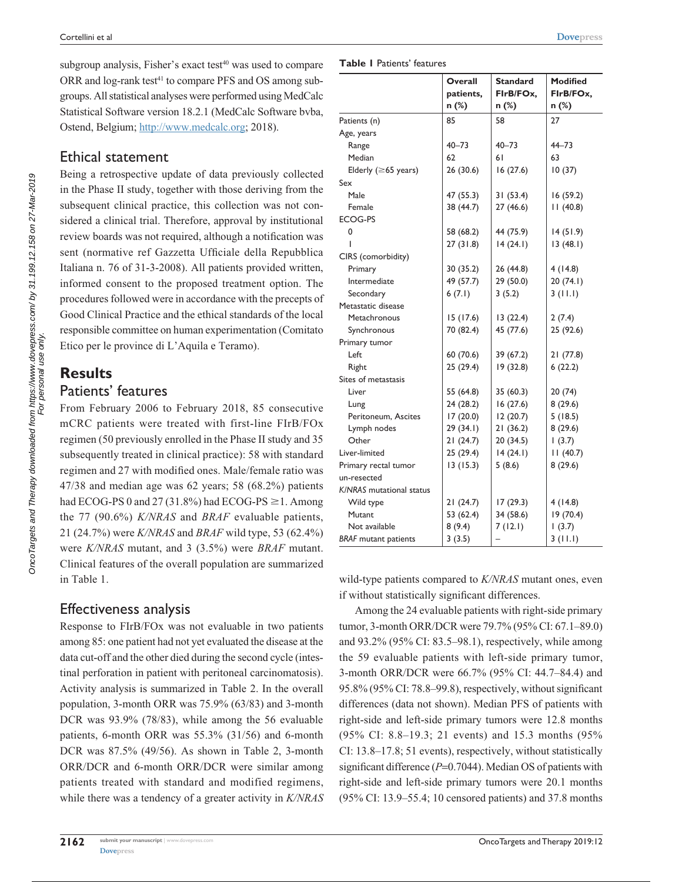subgroup analysis, Fisher's exact test $40$  was used to compare ORR and log-rank test<sup>41</sup> to compare PFS and OS among subgroups. All statistical analyses were performed using MedCalc Statistical Software version 18.2.1 (MedCalc Software bvba, Ostend, Belgium;<http://www.medcalc.org>; 2018).

# Ethical statement

Being a retrospective update of data previously collected in the Phase II study, together with those deriving from the subsequent clinical practice, this collection was not considered a clinical trial. Therefore, approval by institutional review boards was not required, although a notification was sent (normative ref Gazzetta Ufficiale della Repubblica Italiana n. 76 of 31-3-2008). All patients provided written, informed consent to the proposed treatment option. The procedures followed were in accordance with the precepts of Good Clinical Practice and the ethical standards of the local responsible committee on human experimentation (Comitato Etico per le province di L'Aquila e Teramo).

# **Results** Patients' features

From February 2006 to February 2018, 85 consecutive mCRC patients were treated with first-line FIrB/FOx regimen (50 previously enrolled in the Phase II study and 35 subsequently treated in clinical practice): 58 with standard regimen and 27 with modified ones. Male/female ratio was 47/38 and median age was 62 years; 58 (68.2%) patients had ECOG-PS 0 and 27 (31.8%) had ECOG-PS  $\geq$  1. Among the 77 (90.6%) *K/NRAS* and *BRAF* evaluable patients, 21 (24.7%) were *K/NRAS* and *BRAF* wild type, 53 (62.4%) were *K/NRAS* mutant, and 3 (3.5%) were *BRAF* mutant. Clinical features of the overall population are summarized in Table 1.

# Effectiveness analysis

Response to FIrB/FOx was not evaluable in two patients among 85: one patient had not yet evaluated the disease at the data cut-off and the other died during the second cycle (intestinal perforation in patient with peritoneal carcinomatosis). Activity analysis is summarized in Table 2. In the overall population, 3-month ORR was 75.9% (63/83) and 3-month DCR was 93.9% (78/83), while among the 56 evaluable patients, 6-month ORR was 55.3% (31/56) and 6-month DCR was 87.5% (49/56). As shown in Table 2, 3-month ORR/DCR and 6-month ORR/DCR were similar among patients treated with standard and modified regimens, while there was a tendency of a greater activity in *K/NRAS*

#### **Table 1** Patients' features

|                             | Overall   | <b>Standard</b> | <b>Modified</b> |
|-----------------------------|-----------|-----------------|-----------------|
|                             | patients, | FirB/FOx,       | FirB/FOx,       |
|                             | n (%)     | n (%)           | n (%)           |
| Patients (n)                | 85        | 58              | 27              |
| Age, years                  |           |                 |                 |
| Range                       | $40 - 73$ | $40 - 73$       | $44 - 73$       |
| Median                      | 62        | 61              | 63              |
| Elderly ( $\geq 65$ years)  | 26(30.6)  | 16(27.6)        | 10(37)          |
| Sex                         |           |                 |                 |
| Male                        | 47 (55.3) | 31(53.4)        | 16(59.2)        |
| Female                      | 38 (44.7) | 27 (46.6)       | 11(40.8)        |
| <b>ECOG-PS</b>              |           |                 |                 |
| 0                           | 58 (68.2) | 44 (75.9)       | 14(51.9)        |
| ı                           | 27(31.8)  | 14(24.1)        | 13(48.1)        |
| CIRS (comorbidity)          |           |                 |                 |
| Primary                     | 30 (35.2) | 26 (44.8)       | 4(14.8)         |
| Intermediate                | 49 (57.7) | 29 (50.0)       | 20(74.1)        |
| Secondary                   | 6(7.1)    | 3(5.2)          | 3(11.1)         |
| Metastatic disease          |           |                 |                 |
| Metachronous                | 15(17.6)  | 13(22.4)        | 2(7.4)          |
| Synchronous                 | 70 (82.4) | 45 (77.6)       | 25 (92.6)       |
| Primary tumor               |           |                 |                 |
| Left                        | 60 (70.6) | 39 (67.2)       | 21(77.8)        |
| Right                       | 25(29.4)  | 19 (32.8)       | 6(22.2)         |
| Sites of metastasis         |           |                 |                 |
| Liver                       | 55 (64.8) | 35 (60.3)       | 20(74)          |
| Lung                        | 24(28.2)  | 16(27.6)        | 8(29.6)         |
| Peritoneum, Ascites         | 17(20.0)  | 12(20.7)        | 5(18.5)         |
| Lymph nodes                 | 29(34.1)  | 21(36.2)        | 8(29.6)         |
| Other                       | 21(24.7)  | 20(34.5)        | (3.7)           |
| Liver-limited               | 25(29.4)  | 14(24.1)        | 11(40.7)        |
| Primary rectal tumor        | 13(15.3)  | 5(8.6)          | 8(29.6)         |
| un-resected                 |           |                 |                 |
| K/NRAS mutational status    |           |                 |                 |
| Wild type                   | 21(24.7)  | 17(29.3)        | 4(14.8)         |
| <b>Mutant</b>               | 53 (62.4) | 34 (58.6)       | 19(70.4)        |
| Not available               | 8(9.4)    | 7(12.1)         | 1(3.7)          |
| <b>BRAF</b> mutant patients | 3(3.5)    |                 | 3(11.1)         |

wild-type patients compared to *K/NRAS* mutant ones, even if without statistically significant differences.

Among the 24 evaluable patients with right-side primary tumor, 3-month ORR/DCR were 79.7% (95% CI: 67.1–89.0) and 93.2% (95% CI: 83.5–98.1), respectively, while among the 59 evaluable patients with left-side primary tumor, 3-month ORR/DCR were 66.7% (95% CI: 44.7–84.4) and 95.8% (95% CI: 78.8–99.8), respectively, without significant differences (data not shown). Median PFS of patients with right-side and left-side primary tumors were 12.8 months (95% CI: 8.8–19.3; 21 events) and 15.3 months (95% CI: 13.8–17.8; 51 events), respectively, without statistically significant difference ( $P=0.7044$ ). Median OS of patients with right-side and left-side primary tumors were 20.1 months (95% CI: 13.9–55.4; 10 censored patients) and 37.8 months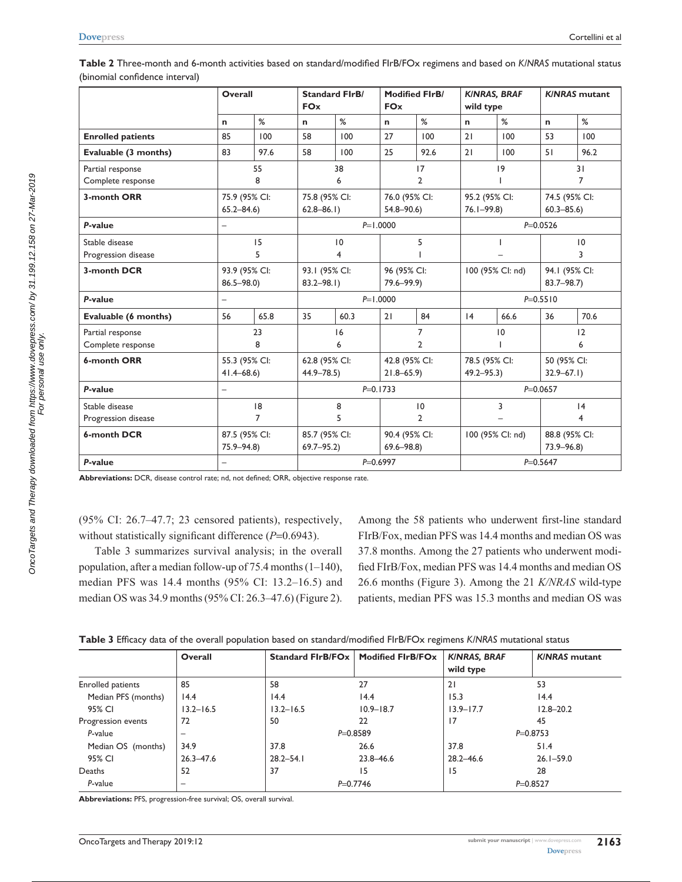|                          | <b>Overall</b>           |               | <b>FOx</b>    | <b>Standard FIrB/</b> | <b>FOx</b>    | <b>Modified FIrB/</b> | wild type     | <b>KINRAS, BRAF</b> |               | <b>K/NRAS</b> mutant |
|--------------------------|--------------------------|---------------|---------------|-----------------------|---------------|-----------------------|---------------|---------------------|---------------|----------------------|
|                          | $\mathbf n$              | %             | n             | %                     | n             | %                     | n             | %                   | $\mathbf n$   | %                    |
| <b>Enrolled patients</b> | 85                       | 100           | 58            | 100                   | 27            | 100                   | 21            | 100                 | 53            | 100                  |
| Evaluable (3 months)     | 83                       | 97.6          | 58            | 100                   | 25            | 92.6                  | 21            | 100                 | 51            | 96.2                 |
| Partial response         |                          | 55            |               | 38                    |               | 17                    |               | 19                  |               | 31                   |
| Complete response        |                          | 8             |               | 6                     |               | $\overline{2}$        |               |                     |               | $\overline{7}$       |
| 3-month ORR              |                          | 75.9 (95% CI: | 75.8 (95% CI: |                       |               | 76.0 (95% CI:         |               | 95.2 (95% CI:       |               | 74.5 (95% CI:        |
|                          | $65.2 - 84.6$            |               | $62.8 - 86.1$ |                       | $54.8 - 90.6$ |                       | $76.1 - 99.8$ |                     | $60.3 - 85.6$ |                      |
| P-value                  |                          |               |               |                       | $P=1.0000$    |                       |               |                     | $P = 0.0526$  |                      |
| Stable disease           |                          | 15            |               | 10                    |               | 5                     |               |                     |               | $\overline{0}$       |
| Progression disease      |                          | 5             |               | 4                     |               |                       |               |                     |               | 3                    |
| 3-month DCR              |                          | 93.9 (95% CI: | 93.1 (95% CI: |                       | 96 (95% CI:   |                       |               | 100 (95% CI: nd)    |               | 94.1 (95% CI:        |
|                          | $86.5 - 98.0$            |               | $83.2 - 98.1$ |                       | 79.6-99.9)    |                       |               |                     | $83.7 - 98.7$ |                      |
| P-value                  | $\overline{\phantom{0}}$ |               |               |                       | $P=1.0000$    |                       |               |                     | $P = 0.5510$  |                      |
| Evaluable (6 months)     | 56                       | 65.8          | 35            | 60.3                  | 21            | 84                    | 4             | 66.6                | 36            | 70.6                 |
| Partial response         |                          | 23            |               | 16                    |               | 7                     |               | 10                  |               | 12                   |
| Complete response        |                          | 8             |               | 6                     |               | 2                     |               |                     |               | 6                    |
| 6-month ORR              |                          | 55.3 (95% CI: |               | 62.8 (95% CI:         |               | 42.8 (95% CI:         |               | 78.5 (95% CI:       |               | 50 (95% CI:          |
|                          | $41.4 - 68.6$            |               | $44.9 - 78.5$ |                       | $21.8 - 65.9$ |                       | $49.2 - 95.3$ |                     | $32.9 - 67.1$ |                      |
| P-value                  |                          |               |               |                       | $P = 0.1733$  |                       |               |                     | $P = 0.0657$  |                      |
| Stable disease           |                          | 18            |               | 8                     |               | 10                    |               | 3                   |               | 4                    |
| Progression disease      |                          | 7             |               | 5                     |               | $\overline{2}$        |               |                     |               | 4                    |
| 6-month DCR              |                          | 87.5 (95% CI: | 85.7 (95% CI: |                       |               | 90.4 (95% CI:         |               | 100 (95% CI: nd)    |               | 88.8 (95% CI:        |
|                          | $75.9 - 94.8$            |               | $69.7 - 95.2$ |                       | $69.6 - 98.8$ |                       |               |                     | $73.9 - 96.8$ |                      |
| P-value                  | $\overline{\phantom{0}}$ |               |               |                       | $P = 0.6997$  |                       |               |                     | $P = 0.5647$  |                      |

**Table 2** Three-month and 6-month activities based on standard/modified FIrB/FOx regimens and based on *K/NRAS* mutational status (binomial confidence interval)

**Abbreviations:** DCR, disease control rate; nd, not defined; ORR, objective response rate.

(95% CI: 26.7–47.7; 23 censored patients), respectively, without statistically significant difference ( $P=0.6943$ ).

Table 3 summarizes survival analysis; in the overall population, after a median follow-up of 75.4 months (1–140), median PFS was 14.4 months (95% CI: 13.2–16.5) and median OS was 34.9 months (95% CI: 26.3–47.6) (Figure 2).

Among the 58 patients who underwent first-line standard FIrB/Fox, median PFS was 14.4 months and median OS was 37.8 months. Among the 27 patients who underwent modified FIrB/Fox, median PFS was 14.4 months and median OS 26.6 months (Figure 3). Among the 21 *K/NRAS* wild-type patients, median PFS was 15.3 months and median OS was

|  |  |  |  |  | Table 3 Efficacy data of the overall population based on standard/modified FlrB/FOx regimens K/NRAS mutational status |
|--|--|--|--|--|-----------------------------------------------------------------------------------------------------------------------|
|--|--|--|--|--|-----------------------------------------------------------------------------------------------------------------------|

|                     | Overall                  | Standard FirB/FOx | <b>Modified FIrB/FOx</b> | <b>KINRAS, BRAF</b><br>wild type | <b>K/NRAS</b> mutant |
|---------------------|--------------------------|-------------------|--------------------------|----------------------------------|----------------------|
| Enrolled patients   | 85                       | 58                | 27                       | 21                               | 53                   |
| Median PFS (months) | 14.4                     | 14.4              | 14.4                     | 15.3                             | 14.4                 |
| 95% CI              | $13.2 - 16.5$            | $13.2 - 16.5$     | $10.9 - 18.7$            | $13.9 - 17.7$                    | $12.8 - 20.2$        |
| Progression events  | 72                       | 50                | 22                       | 17                               | 45                   |
| P-value             | -                        |                   | $P = 0.8589$             | $P = 0.8753$                     |                      |
| Median OS (months)  | 34.9                     | 37.8              | 26.6                     | 37.8                             | 51.4                 |
| 95% CI              | $26.3 - 47.6$            | $28.2 - 54.1$     | 23.8-46.6                | $28.2 - 46.6$                    | $26.1 - 59.0$        |
| Deaths              | 52                       | 37                | 15                       | 15                               | 28                   |
| P-value             | $\overline{\phantom{0}}$ |                   | $P = 0.7746$             | $P = 0.8527$                     |                      |

**Abbreviations:** PFS, progression-free survival; OS, overall survival.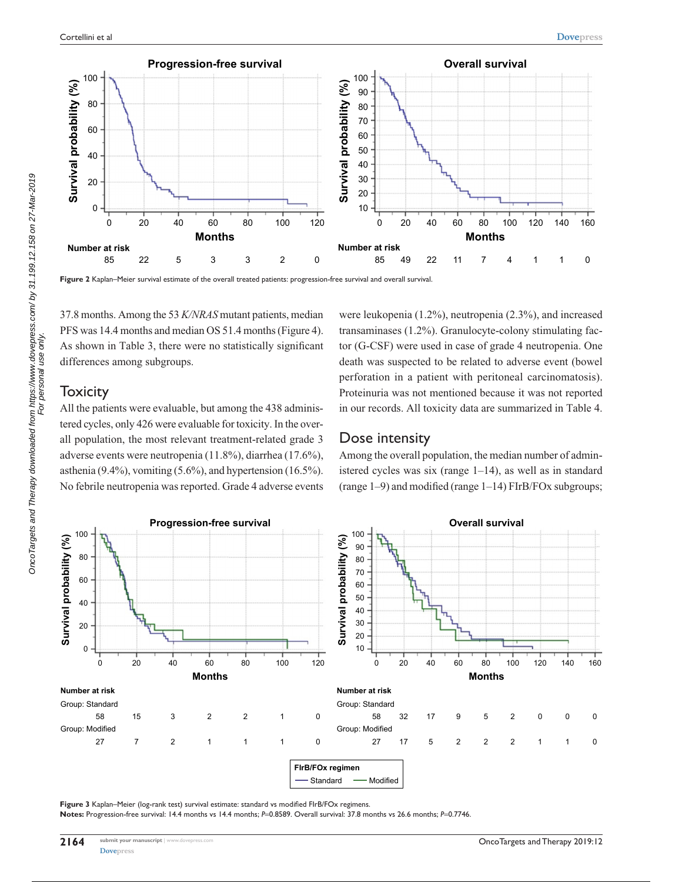

**Figure 2** Kaplan–Meier survival estimate of the overall treated patients: progression-free survival and overall survival.

37.8 months. Among the 53 *K/NRAS* mutant patients, median PFS was 14.4 months and median OS 51.4 months (Figure 4). As shown in Table 3, there were no statistically significant differences among subgroups.

#### **Toxicity**

All the patients were evaluable, but among the 438 administered cycles, only 426 were evaluable for toxicity. In the overall population, the most relevant treatment-related grade 3 adverse events were neutropenia (11.8%), diarrhea (17.6%), asthenia (9.4%), vomiting (5.6%), and hypertension (16.5%). No febrile neutropenia was reported. Grade 4 adverse events were leukopenia (1.2%), neutropenia (2.3%), and increased transaminases (1.2%). Granulocyte-colony stimulating factor (G-CSF) were used in case of grade 4 neutropenia. One death was suspected to be related to adverse event (bowel perforation in a patient with peritoneal carcinomatosis). Proteinuria was not mentioned because it was not reported in our records. All toxicity data are summarized in Table 4.

#### Dose intensity

Among the overall population, the median number of administered cycles was six (range 1–14), as well as in standard (range 1–9) and modified (range 1–14) FIrB/FOx subgroups;



Figure 3 Kaplan–Meier (log-rank test) survival estimate: standard vs modified FIrB/FOx regimens.

**Notes:** Progression-free survival: 14.4 months vs 14.4 months; *P*=0.8589. Overall survival: 37.8 months vs 26.6 months; *P*=0.7746.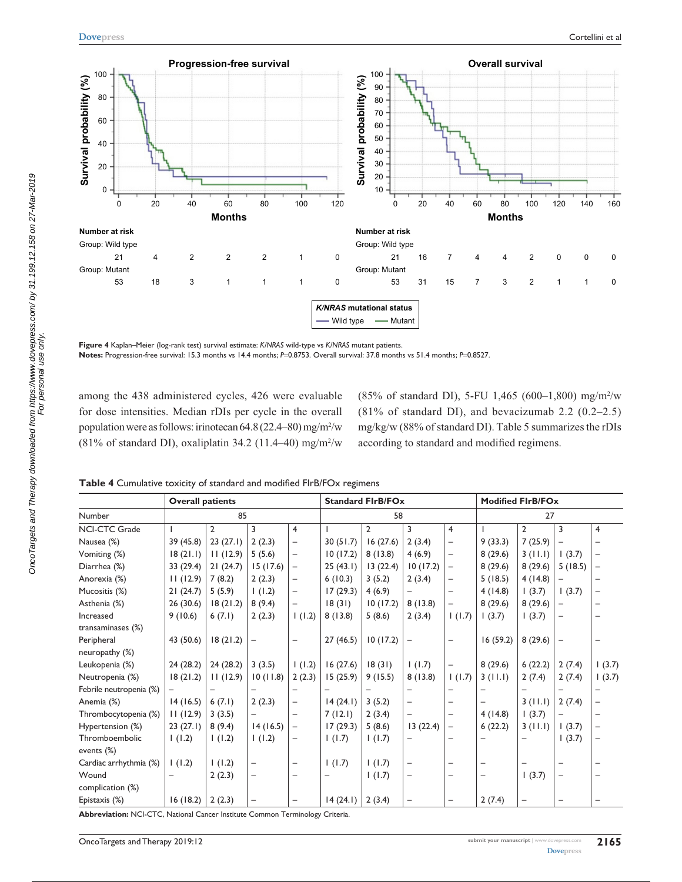

**Figure 4** Kaplan–Meier (log-rank test) survival estimate: *K/NRAS* wild-type vs *K/NRAS* mutant patients. **Notes:** Progression-free survival: 15.3 months vs 14.4 months; *P*=0.8753. Overall survival: 37.8 months vs 51.4 months; *P*=0.8527.

among the 438 administered cycles, 426 were evaluable for dose intensities. Median rDIs per cycle in the overall population were as follows: irinotecan 64.8 (22.4–80) mg/m2 /w (81% of standard DI), oxaliplatin 34.2 (11.4–40) mg/m<sup>2</sup>/w

(85% of standard DI), 5-FU 1,465 (600–1,800) mg/m2 /w (81% of standard DI), and bevacizumab 2.2 (0.2–2.5) mg/kg/w (88% of standard DI). Table 5 summarizes the rDIs according to standard and modified regimens.

**Table 4** Cumulative toxicity of standard and modified FIrB/FOx regimens

|                         | <b>Overall patients</b> |                |                          |                          |          | <b>Standard FIrB/FOx</b> |                          |                          | <b>Modified FIrB/FOx</b> |                          |                          |                          |
|-------------------------|-------------------------|----------------|--------------------------|--------------------------|----------|--------------------------|--------------------------|--------------------------|--------------------------|--------------------------|--------------------------|--------------------------|
| Number                  |                         | 85             |                          |                          |          | 58                       |                          |                          |                          | 27                       |                          |                          |
| <b>NCI-CTC Grade</b>    |                         | $\overline{2}$ | 3                        | 4                        |          | $\overline{2}$           | 3                        | 4                        |                          | $\overline{2}$           | 3                        | $\overline{4}$           |
| Nausea (%)              | 39 (45.8)               | 23(27.1)       | 2(2.3)                   | $\qquad \qquad -$        | 30(51.7) | 16(27.6)                 | 2(3.4)                   | $\overline{\phantom{0}}$ | 9(33.3)                  | 7(25.9)                  | $\qquad \qquad -$        | $\overline{\phantom{0}}$ |
| Vomiting (%)            | 18(21.1)                | 11(12.9)       | 5(5.6)                   | $\qquad \qquad -$        | 10(17.2) | 8(13.8)                  | 4(6.9)                   | $\overline{\phantom{0}}$ | 8(29.6)                  | 3(11.1)                  | (3.7)                    | $\overline{\phantom{m}}$ |
| Diarrhea (%)            | 33 (29.4)               | 21(24.7)       | 15(17.6)                 | -                        | 25(43.1) | 13(22.4)                 | 10(17.2)                 | $\qquad \qquad -$        | 8(29.6)                  | 8(29.6)                  | 5(18.5)                  | $\overline{\phantom{a}}$ |
| Anorexia (%)            | 11(12.9)                | 7(8.2)         | 2(2.3)                   | -                        | 6(10.3)  | 3(5.2)                   | 2(3.4)                   |                          | 5(18.5)                  | 4(14.8)                  |                          |                          |
| Mucositis (%)           | 21(24.7)                | 5(5.9)         | (1.2)                    | $\overline{\phantom{0}}$ | 17(29.3) | 4(6.9)                   |                          | $\overline{\phantom{0}}$ | 4(14.8)                  | 1(3.7)                   | 1(3.7)                   |                          |
| Asthenia (%)            | 26(30.6)                | 18(21.2)       | 8(9.4)                   | $\overline{\phantom{0}}$ | 18(31)   | 10(17.2)                 | 8(13.8)                  | $\overline{\phantom{0}}$ | 8(29.6)                  | 8(29.6)                  | $\overline{\phantom{0}}$ |                          |
| Increased               | 9(10.6)                 | 6(7.1)         | 2(2.3)                   | 1(1.2)                   | 8(13.8)  | 5(8.6)                   | 2(3.4)                   | 1(1.7)                   | (3.7)                    | 1(3.7)                   | $\overline{\phantom{0}}$ |                          |
| transaminases (%)       |                         |                |                          |                          |          |                          |                          |                          |                          |                          |                          |                          |
| Peripheral              | 43 (50.6)               | 18(21.2)       | $\qquad \qquad -$        | $\overline{\phantom{0}}$ | 27(46.5) | 10(17.2)                 |                          |                          | 16(59.2)                 | 8(29.6)                  |                          |                          |
| neuropathy (%)          |                         |                |                          |                          |          |                          |                          |                          |                          |                          |                          |                          |
| Leukopenia (%)          | 24(28.2)                | 24(28.2)       | 3(3.5)                   | 1(1.2)                   | 16(27.6) | 18(31)                   | 1(1.7)                   | $\overline{\phantom{0}}$ | 8(29.6)                  | 6(22.2)                  | 2(7.4)                   | (3.7)                    |
| Neutropenia (%)         | 18(21.2)                | 11(12.9)       | 10(11.8)                 | 2(2.3)                   | 15(25.9) | 9(15.5)                  | 8(13.8)                  | 1(1.7)                   | 3(11.1)                  | 2(7.4)                   | 2(7.4)                   | (3.7)                    |
| Febrile neutropenia (%) |                         |                |                          |                          |          |                          |                          |                          |                          |                          |                          |                          |
| Anemia (%)              | 14(16.5)                | 6(7.1)         | 2(2.3)                   | $\qquad \qquad -$        | 14(24.1) | 3(5.2)                   | -                        |                          | -                        | 3(11.1)                  | 2(7.4)                   | $\qquad \qquad -$        |
| Thrombocytopenia (%)    | 11(12.9)                | 3(3.5)         | $\overline{\phantom{m}}$ | $\overline{\phantom{0}}$ | 7(12.1)  | 2(3.4)                   | $\overline{\phantom{0}}$ | $\overline{\phantom{0}}$ | 4(14.8)                  | (3.7)                    | $\qquad \qquad -$        | $\overline{\phantom{0}}$ |
| Hypertension (%)        | 23(27.1)                | 8(9.4)         | 14(16.5)                 | $\qquad \qquad -$        | 17(29.3) | 5(8.6)                   | 13(22.4)                 | $\qquad \qquad -$        | 6(22.2)                  | 3(11.1)                  | (3.7)                    | $\overline{\phantom{m}}$ |
| Thromboembolic          | (1.2)                   | (1.2)          | (1.2)                    | -                        | 1(1.7)   | 1(1.7)                   |                          |                          |                          |                          | 1(3.7)                   | $\qquad \qquad -$        |
| events $(\%)$           |                         |                |                          |                          |          |                          |                          |                          |                          |                          |                          |                          |
| Cardiac arrhythmia (%)  | (1.2)                   | (1.2)          | $\qquad \qquad -$        | -                        | 1(1.7)   | 1(1.7)                   | -                        |                          |                          |                          |                          |                          |
| Wound                   |                         | 2(2.3)         | $\overline{\phantom{m}}$ | $\qquad \qquad$          |          | 1(1.7)                   | -                        | $\overline{\phantom{0}}$ | $\qquad \qquad$          | 1(3.7)                   | $\overline{\phantom{0}}$ |                          |
| complication (%)        |                         |                |                          |                          |          |                          |                          |                          |                          |                          |                          |                          |
| Epistaxis (%)           | 16(18.2)                | 2(2.3)         | $\qquad \qquad -$        |                          | 14(24.1) | 2(3.4)                   |                          |                          | 2(7.4)                   | $\overline{\phantom{0}}$ |                          |                          |

**Abbreviation:** NCI-CTC, National Cancer Institute Common Terminology Criteria.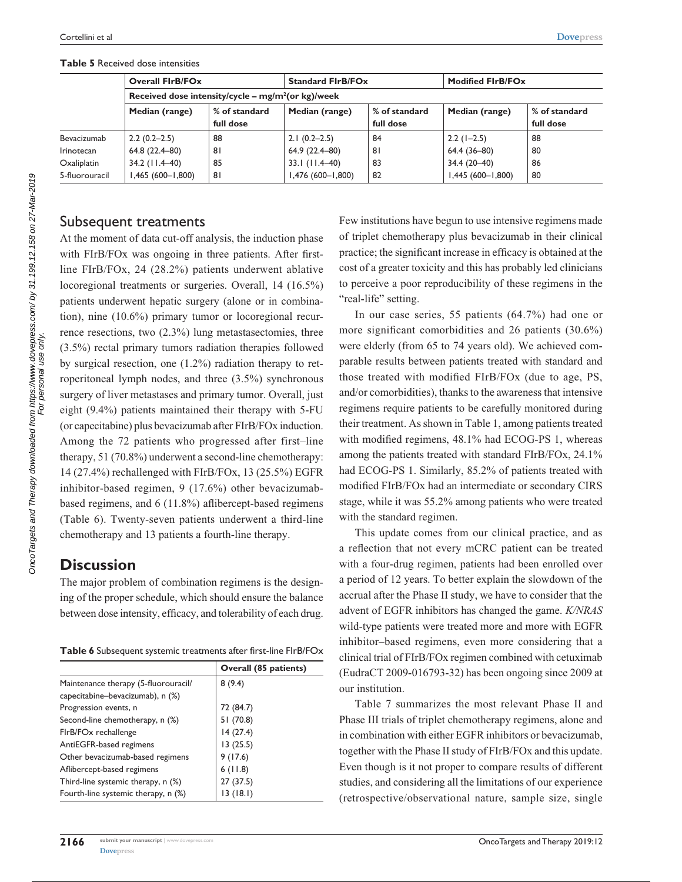|                   | <b>Overall FIrB/FOx</b>                               |               | <b>Standard FirB/FOx</b> |               | <b>Modified FIrB/FOx</b> |               |
|-------------------|-------------------------------------------------------|---------------|--------------------------|---------------|--------------------------|---------------|
|                   | Received dose intensity/cycle – $mg/m^2$ (or kg)/week |               |                          |               |                          |               |
|                   | Median (range)                                        | % of standard | Median (range)           | % of standard | Median (range)           | % of standard |
|                   |                                                       | full dose     |                          | full dose     |                          | full dose     |
| Bevacizumab       | $2.2(0.2-2.5)$                                        | 88            | $2.1(0.2-2.5)$           | 84            | $2.2(1-2.5)$             | 88            |
| <b>Irinotecan</b> | 64.8 (22.4-80)                                        | 81            | 64.9 (22.4-80)           | 81            | 64.4 (36-80)             | 80            |
| Oxaliplatin       | 34.2 (11.4–40)                                        | 85            | $33.1$ (11.4-40)         | 83            | 34.4 (20-40)             | 86            |
| 5-fluorouracil    | 1,465 (600-1,800)                                     | 81            | $1,476(600 - 1,800)$     | 82            | $1,445(600 - 1,800)$     | 80            |

**Table 5** Received dose intensities

#### Subsequent treatments

At the moment of data cut-off analysis, the induction phase with FIrB/FOx was ongoing in three patients. After firstline FIrB/FOx, 24 (28.2%) patients underwent ablative locoregional treatments or surgeries. Overall, 14 (16.5%) patients underwent hepatic surgery (alone or in combination), nine (10.6%) primary tumor or locoregional recurrence resections, two (2.3%) lung metastasectomies, three (3.5%) rectal primary tumors radiation therapies followed by surgical resection, one (1.2%) radiation therapy to retroperitoneal lymph nodes, and three (3.5%) synchronous surgery of liver metastases and primary tumor. Overall, just eight (9.4%) patients maintained their therapy with 5-FU (or capecitabine) plus bevacizumab after FIrB/FOx induction. Among the 72 patients who progressed after first–line therapy, 51 (70.8%) underwent a second-line chemotherapy: 14 (27.4%) rechallenged with FIrB/FOx, 13 (25.5%) EGFR inhibitor-based regimen, 9 (17.6%) other bevacizumabbased regimens, and 6 (11.8%) aflibercept-based regimens (Table 6). Twenty-seven patients underwent a third-line chemotherapy and 13 patients a fourth-line therapy.

## **Discussion**

The major problem of combination regimens is the designing of the proper schedule, which should ensure the balance between dose intensity, efficacy, and tolerability of each drug.

|                                      | Overall (85 patients) |
|--------------------------------------|-----------------------|
| Maintenance therapy (5-fluorouracil/ | 8(9.4)                |
| capecitabine-bevacizumab), n (%)     |                       |
| Progression events, n                | 72 (84.7)             |
| Second-line chemotherapy, n (%)      | 51 (70.8)             |
| FIrB/FOx rechallenge                 | 14 (27.4)             |
| AntiEGFR-based regimens              | 13(25.5)              |
| Other bevacizumab-based regimens     | 9(17.6)               |
| Aflibercept-based regimens           | 6(11.8)               |
| Third-line systemic therapy, n (%)   | 27 (37.5)             |
| Fourth-line systemic therapy, n (%)  | (18.1)                |

Few institutions have begun to use intensive regimens made of triplet chemotherapy plus bevacizumab in their clinical practice; the significant increase in efficacy is obtained at the cost of a greater toxicity and this has probably led clinicians to perceive a poor reproducibility of these regimens in the "real-life" setting.

In our case series, 55 patients (64.7%) had one or more significant comorbidities and 26 patients (30.6%) were elderly (from 65 to 74 years old). We achieved comparable results between patients treated with standard and those treated with modified FIrB/FOx (due to age, PS, and/or comorbidities), thanks to the awareness that intensive regimens require patients to be carefully monitored during their treatment. As shown in Table 1, among patients treated with modified regimens, 48.1% had ECOG-PS 1, whereas among the patients treated with standard FIrB/FOx, 24.1% had ECOG-PS 1. Similarly, 85.2% of patients treated with modified FIrB/FOx had an intermediate or secondary CIRS stage, while it was 55.2% among patients who were treated with the standard regimen.

This update comes from our clinical practice, and as a reflection that not every mCRC patient can be treated with a four-drug regimen, patients had been enrolled over a period of 12 years. To better explain the slowdown of the accrual after the Phase II study, we have to consider that the advent of EGFR inhibitors has changed the game. *K/NRAS* wild-type patients were treated more and more with EGFR inhibitor–based regimens, even more considering that a clinical trial of FIrB/FOx regimen combined with cetuximab (EudraCT 2009-016793-32) has been ongoing since 2009 at our institution.

Table 7 summarizes the most relevant Phase II and Phase III trials of triplet chemotherapy regimens, alone and in combination with either EGFR inhibitors or bevacizumab, together with the Phase II study of FIrB/FOx and this update. Even though is it not proper to compare results of different studies, and considering all the limitations of our experience (retrospective/observational nature, sample size, single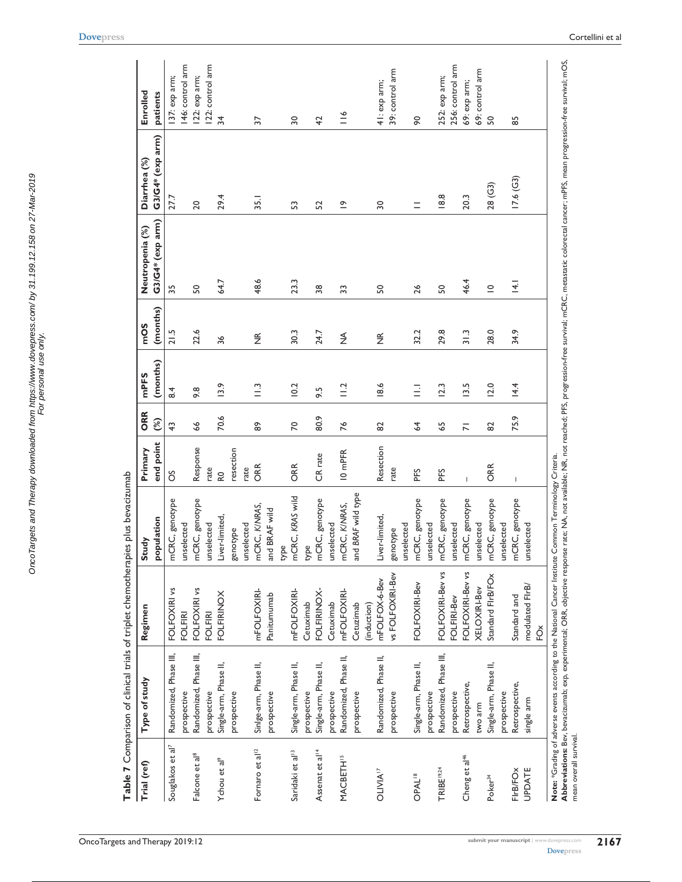|                              | Table 7 Comparison of clinical trials of triplet chemotherapies plus bevacizumab                                                                                                                                               |                   |                    |                                       |                |                 |                    |                  |                  |                  |
|------------------------------|--------------------------------------------------------------------------------------------------------------------------------------------------------------------------------------------------------------------------------|-------------------|--------------------|---------------------------------------|----------------|-----------------|--------------------|------------------|------------------|------------------|
| Trial (ref)                  | Type of study                                                                                                                                                                                                                  | Regimen           | Study              | Primary                               | ORR            | mPFS            | mOS                | Neutropenia (%)  | Diarrhea (%)     | Enrolled         |
|                              |                                                                                                                                                                                                                                |                   | population         | end point                             | $\mathcal{E}$  | (months)        | (months)           | G3/G4* (exp arm) | G3/G4* (exp arm) | patients         |
| Souglakos et al <sup>7</sup> | Randomized, Phase III,                                                                                                                                                                                                         | FOLFOXIRI vs      | mCRC, genotype     | ő                                     | $\overline{4}$ | $\overline{8}$  | 21.5               | 35               | 27.7             | 137: exp arm;    |
|                              | prospective                                                                                                                                                                                                                    | <b>FOLFIRI</b>    | unselected         |                                       |                |                 |                    |                  |                  | 146: control arm |
| Falcone et al <sup>8</sup>   | Randomized, Phase III,                                                                                                                                                                                                         | FOLFOXIRI vs      | nCRC, genotype     | Response                              | \$             | 9.8             | 22.6               | SO               | 20               | 122: exp arm;    |
|                              | prospective                                                                                                                                                                                                                    | <b>FOLFIRI</b>    | <b>Inselected</b>  | rate                                  |                |                 |                    |                  |                  | 122: control arm |
| Ychou et al <sup>9</sup>     | Single-arm, Phase II,                                                                                                                                                                                                          | <b>FOLFIRINOX</b> | iver-limited,      | R <sub>0</sub>                        | 70.6           | 13.9            | 36                 | 64.7             | 29.4             | $\frac{1}{2}$    |
|                              | prospective                                                                                                                                                                                                                    |                   | genotype           | resection                             |                |                 |                    |                  |                  |                  |
|                              |                                                                                                                                                                                                                                |                   | <b>Inselected</b>  | rate                                  |                |                 |                    |                  |                  |                  |
| Fornaro et al <sup>12</sup>  | Sinlge-arm, Phase II,                                                                                                                                                                                                          | mFOLFOXIRI-       | nCRC, K/NRAS,      | ORR                                   | 8              | $\frac{13}{11}$ | $\widetilde{\Xi}$  | 48.6             | 35.1             | 57               |
|                              | prospective                                                                                                                                                                                                                    | Panitumumab       | and BRAF wild      |                                       |                |                 |                    |                  |                  |                  |
|                              |                                                                                                                                                                                                                                |                   | уре<br>Х           |                                       |                |                 |                    |                  |                  |                  |
| Saridaki et al <sup>13</sup> | Single-arm, Phase II,                                                                                                                                                                                                          | mFOLFOXIRI-       | nCRC, KRAS wild    | ORR                                   | $\approx$      | 10.2            | 30.3               | 23.3             | S                | $\overline{30}$  |
|                              | prospective                                                                                                                                                                                                                    | Cetuximab         | żК                 |                                       |                |                 |                    |                  |                  |                  |
| Assenat et al <sup>14</sup>  | Single-arm, Phase II,                                                                                                                                                                                                          | FOLFIRINOX-       | nCRC, genotype     | CR rate                               | 80.9           | 9.5             | 24.7               | 38               | 52               | 42               |
|                              | prospective                                                                                                                                                                                                                    | Cetuximab         | <b>Inselected</b>  |                                       |                |                 |                    |                  |                  |                  |
| <b>MACBETH<sup>15</sup></b>  | Randomized, Phase II,                                                                                                                                                                                                          | mFOLFOXIRI-       | nCRC, K/NRAS,      | 10 <sub>mPFR</sub>                    | 76             | $\frac{12}{11}$ | $\lessgtr$         | 33               | $\tilde{=}$      | $\leq$           |
|                              | prospective                                                                                                                                                                                                                    | Cetuzimab         | and BRAF wild type |                                       |                |                 |                    |                  |                  |                  |
|                              |                                                                                                                                                                                                                                | (induction)       |                    |                                       |                |                 |                    |                  |                  |                  |
| <b>OLIVIA<sup>17</sup></b>   | Randomized, Phase II,                                                                                                                                                                                                          | mFOLFOX-6-Bev     | iver-limited,      | Resection                             | 82             | 18.6            | $\frac{\alpha}{2}$ | SO               | $\overline{30}$  | 41: exp arm;     |
|                              | prospective                                                                                                                                                                                                                    | vs FOLFOXIRI-Bev  | genotype           | rate                                  |                |                 |                    |                  |                  | 39: control arm  |
|                              |                                                                                                                                                                                                                                |                   | <b>Inselected</b>  |                                       |                |                 |                    |                  |                  |                  |
| <b>OPAL<sup>18</sup></b>     | Single-arm, Phase II,                                                                                                                                                                                                          | FOLFOXIRI-Bev     | nCRC, genotype     | PFS                                   | $\mathcal{Z}$  | Ξ               | 32.2               | $\frac{26}{5}$   | $\equiv$         | 90               |
|                              | prospective                                                                                                                                                                                                                    |                   | <b>Inselected</b>  |                                       |                |                 |                    |                  |                  |                  |
| TRIBE <sup>19,24</sup>       | Randomized, Phase III,                                                                                                                                                                                                         | FOLFOXIRI-Bev vs  | nCRC, genotype     | PFS                                   | 59             | 12.3            | 29.8               | SO               | 18.8             | 252: exp arm;    |
|                              | prospective                                                                                                                                                                                                                    | FOLFIRI-Bev       | <b>Inselected</b>  |                                       |                |                 |                    |                  |                  | 256: control arm |
| Cheng et al <sup>46</sup>    | Retrospective,                                                                                                                                                                                                                 | FOLFOXIRI-Bev vs  | nCRC, genotype     | $\overline{1}$                        | $\overline{r}$ | 13.5            | 31.3               | 46.4             | 20.3             | 69: exp arm;     |
|                              | two arm                                                                                                                                                                                                                        | XELOXIRI-Bev      | <b>Inselected</b>  |                                       |                |                 |                    |                  |                  | 69: control arm  |
| Poker <sup>34</sup>          | Single-arm, Phase II,                                                                                                                                                                                                          | Standard FirB/FOx | nCRC, genotype     | ORR                                   | 82             | 12.0            | 28.0               | $\subseteq$      | 28( G3)          | 50               |
|                              | prospective                                                                                                                                                                                                                    |                   | <b>Inselected</b>  |                                       |                |                 |                    |                  |                  |                  |
| FirB/FOx                     | Retrospective,                                                                                                                                                                                                                 | Standard and      | nCRC, genotype     | $\begin{array}{c} \hline \end{array}$ | 75.9           | 14.4            | 34.9               | $\overline{4}$   | 17.6(G3)         | 59               |
| <b>UPDATE</b>                | single arm                                                                                                                                                                                                                     | modulated FirB/   | <b>Inselected</b>  |                                       |                |                 |                    |                  |                  |                  |
|                              |                                                                                                                                                                                                                                | FOx               |                    |                                       |                |                 |                    |                  |                  |                  |
|                              | Note: *Grading of adverse events according to the National Cancer Institute Common Terminology Criteria.                                                                                                                       |                   |                    |                                       |                |                 |                    |                  |                  |                  |
|                              | Abbreviations: Bev, bevacizumab; exp, experimental; ORR, objective response rate; NA, not available; NR, not reached; PFS, progression-free survival; mCRC, metastatic colorectal cancer; mPFS, mean progression-free survival |                   |                    |                                       |                |                 |                    |                  |                  |                  |
| mean overall survival.       |                                                                                                                                                                                                                                |                   |                    |                                       |                |                 |                    |                  |                  |                  |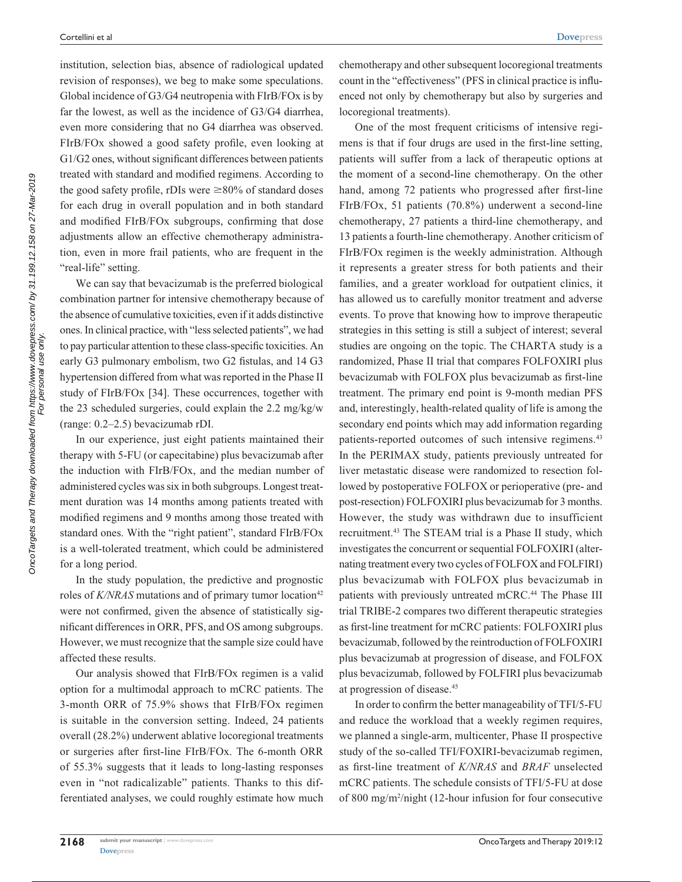institution, selection bias, absence of radiological updated revision of responses), we beg to make some speculations. Global incidence of G3/G4 neutropenia with FIrB/FOx is by far the lowest, as well as the incidence of G3/G4 diarrhea, even more considering that no G4 diarrhea was observed. FIrB/FOx showed a good safety profile, even looking at G1/G2 ones, without significant differences between patients treated with standard and modified regimens. According to the good safety profile, rDIs were  $\geq$ 80% of standard doses for each drug in overall population and in both standard and modified FIrB/FOx subgroups, confirming that dose adjustments allow an effective chemotherapy administration, even in more frail patients, who are frequent in the "real-life" setting.

We can say that bevacizumab is the preferred biological combination partner for intensive chemotherapy because of the absence of cumulative toxicities, even if it adds distinctive ones. In clinical practice, with "less selected patients", we had to pay particular attention to these class-specific toxicities. An early G3 pulmonary embolism, two G2 fistulas, and 14 G3 hypertension differed from what was reported in the Phase II study of FIrB/FOx [34]. These occurrences, together with the 23 scheduled surgeries, could explain the 2.2 mg/kg/w (range: 0.2–2.5) bevacizumab rDI.

In our experience, just eight patients maintained their therapy with 5-FU (or capecitabine) plus bevacizumab after the induction with FIrB/FOx, and the median number of administered cycles was six in both subgroups. Longest treatment duration was 14 months among patients treated with modified regimens and 9 months among those treated with standard ones. With the "right patient", standard FIrB/FOx is a well-tolerated treatment, which could be administered for a long period.

In the study population, the predictive and prognostic roles of *K*/*NRAS* mutations and of primary tumor location<sup>42</sup> were not confirmed, given the absence of statistically significant differences in ORR, PFS, and OS among subgroups. However, we must recognize that the sample size could have affected these results.

Our analysis showed that FIrB/FOx regimen is a valid option for a multimodal approach to mCRC patients. The 3-month ORR of 75.9% shows that FIrB/FOx regimen is suitable in the conversion setting. Indeed, 24 patients overall (28.2%) underwent ablative locoregional treatments or surgeries after first-line FIrB/FOx. The 6-month ORR of 55.3% suggests that it leads to long-lasting responses even in "not radicalizable" patients. Thanks to this differentiated analyses, we could roughly estimate how much chemotherapy and other subsequent locoregional treatments count in the "effectiveness" (PFS in clinical practice is influenced not only by chemotherapy but also by surgeries and locoregional treatments).

One of the most frequent criticisms of intensive regimens is that if four drugs are used in the first-line setting, patients will suffer from a lack of therapeutic options at the moment of a second-line chemotherapy. On the other hand, among 72 patients who progressed after first-line FIrB/FOx, 51 patients (70.8%) underwent a second-line chemotherapy, 27 patients a third-line chemotherapy, and 13 patients a fourth-line chemotherapy. Another criticism of FIrB/FOx regimen is the weekly administration. Although it represents a greater stress for both patients and their families, and a greater workload for outpatient clinics, it has allowed us to carefully monitor treatment and adverse events. To prove that knowing how to improve therapeutic strategies in this setting is still a subject of interest; several studies are ongoing on the topic. The CHARTA study is a randomized, Phase II trial that compares FOLFOXIRI plus bevacizumab with FOLFOX plus bevacizumab as first-line treatment. The primary end point is 9-month median PFS and, interestingly, health-related quality of life is among the secondary end points which may add information regarding patients-reported outcomes of such intensive regimens.<sup>43</sup> In the PERIMAX study, patients previously untreated for liver metastatic disease were randomized to resection followed by postoperative FOLFOX or perioperative (pre- and post-resection) FOLFOXIRI plus bevacizumab for 3 months. However, the study was withdrawn due to insufficient recruitment.43 The STEAM trial is a Phase II study, which investigates the concurrent or sequential FOLFOXIRI (alternating treatment every two cycles of FOLFOX and FOLFIRI) plus bevacizumab with FOLFOX plus bevacizumab in patients with previously untreated mCRC.<sup>44</sup> The Phase III trial TRIBE-2 compares two different therapeutic strategies as first-line treatment for mCRC patients: FOLFOXIRI plus bevacizumab, followed by the reintroduction of FOLFOXIRI plus bevacizumab at progression of disease, and FOLFOX plus bevacizumab, followed by FOLFIRI plus bevacizumab at progression of disease.45

In order to confirm the better manageability of TFI/5-FU and reduce the workload that a weekly regimen requires, we planned a single-arm, multicenter, Phase II prospective study of the so-called TFI/FOXIRI-bevacizumab regimen, as first-line treatment of *K/NRAS* and *BRAF* unselected mCRC patients. The schedule consists of TFI/5-FU at dose of 800 mg/m2 /night (12-hour infusion for four consecutive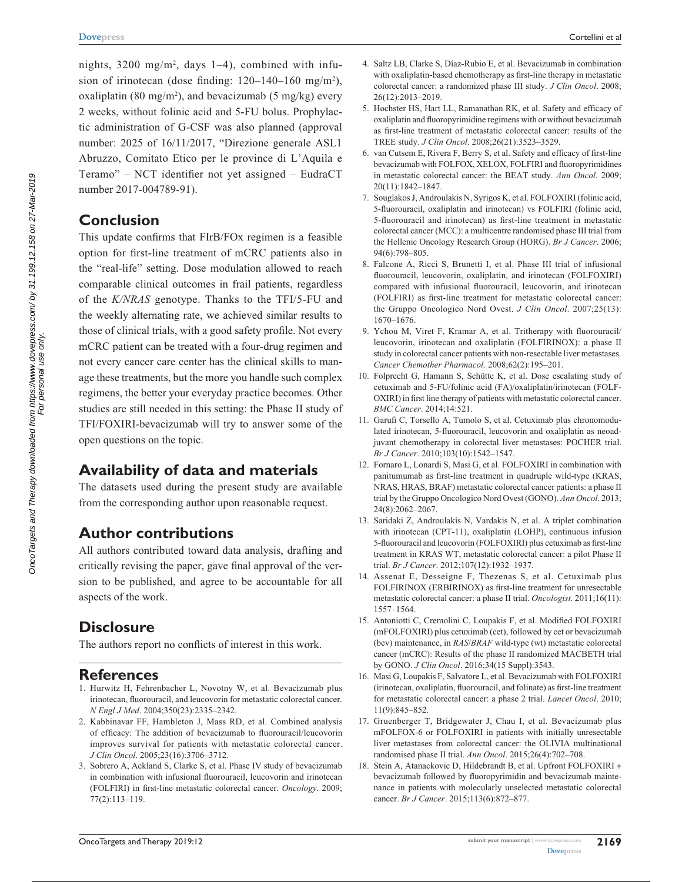nights, 3200 mg/m<sup>2</sup>, days 1–4), combined with infusion of irinotecan (dose finding:  $120-140-160$  mg/m<sup>2</sup>), oxaliplatin (80 mg/m<sup>2</sup>), and bevacizumab (5 mg/kg) every 2 weeks, without folinic acid and 5-FU bolus. Prophylactic administration of G-CSF was also planned (approval number: 2025 of 16/11/2017, "Direzione generale ASL1 Abruzzo, Comitato Etico per le province di L'Aquila e Teramo" – NCT identifier not yet assigned – EudraCT number 2017-004789-91).

## **Conclusion**

This update confirms that FIrB/FOx regimen is a feasible option for first-line treatment of mCRC patients also in the "real-life" setting. Dose modulation allowed to reach comparable clinical outcomes in frail patients, regardless of the *K/NRAS* genotype. Thanks to the TFI/5-FU and the weekly alternating rate, we achieved similar results to those of clinical trials, with a good safety profile. Not every mCRC patient can be treated with a four-drug regimen and not every cancer care center has the clinical skills to manage these treatments, but the more you handle such complex regimens, the better your everyday practice becomes. Other studies are still needed in this setting: the Phase II study of TFI/FOXIRI-bevacizumab will try to answer some of the open questions on the topic.

# **Availability of data and materials**

The datasets used during the present study are available from the corresponding author upon reasonable request.

## **Author contributions**

All authors contributed toward data analysis, drafting and critically revising the paper, gave final approval of the version to be published, and agree to be accountable for all aspects of the work.

# **Disclosure**

The authors report no conflicts of interest in this work.

## **References**

- 1. Hurwitz H, Fehrenbacher L, Novotny W, et al. Bevacizumab plus irinotecan, fluorouracil, and leucovorin for metastatic colorectal cancer. *N Engl J Med*. 2004;350(23):2335–2342.
- 2. Kabbinavar FF, Hambleton J, Mass RD, et al. Combined analysis of efficacy: The addition of bevacizumab to fluorouracil/leucovorin improves survival for patients with metastatic colorectal cancer. *J Clin Oncol*. 2005;23(16):3706–3712.
- 3. Sobrero A, Ackland S, Clarke S, et al. Phase IV study of bevacizumab in combination with infusional fluorouracil, leucovorin and irinotecan (FOLFIRI) in first-line metastatic colorectal cancer. *Oncology*. 2009; 77(2):113–119.
- 4. Saltz LB, Clarke S, Díaz-Rubio E, et al. Bevacizumab in combination with oxaliplatin-based chemotherapy as first-line therapy in metastatic colorectal cancer: a randomized phase III study. *J Clin Oncol*. 2008; 26(12):2013–2019.
- 5. Hochster HS, Hart LL, Ramanathan RK, et al. Safety and efficacy of oxaliplatin and fluoropyrimidine regimens with or without bevacizumab as first-line treatment of metastatic colorectal cancer: results of the TREE study. *J Clin Oncol*. 2008;26(21):3523–3529.
- 6. van Cutsem E, Rivera F, Berry S, et al. Safety and efficacy of first-line bevacizumab with FOLFOX, XELOX, FOLFIRI and fluoropyrimidines in metastatic colorectal cancer: the BEAT study. *Ann Oncol*. 2009; 20(11):1842–1847.
- 7. Souglakos J, Androulakis N, Syrigos K, et al. FOLFOXIRI (folinic acid, 5-fluorouracil, oxaliplatin and irinotecan) vs FOLFIRI (folinic acid, 5-fluorouracil and irinotecan) as first-line treatment in metastatic colorectal cancer (MCC): a multicentre randomised phase III trial from the Hellenic Oncology Research Group (HORG). *Br J Cancer*. 2006; 94(6):798–805.
- 8. Falcone A, Ricci S, Brunetti I, et al. Phase III trial of infusional fluorouracil, leucovorin, oxaliplatin, and irinotecan (FOLFOXIRI) compared with infusional fluorouracil, leucovorin, and irinotecan (FOLFIRI) as first-line treatment for metastatic colorectal cancer: the Gruppo Oncologico Nord Ovest. *J Clin Oncol*. 2007;25(13): 1670–1676.
- 9. Ychou M, Viret F, Kramar A, et al. Tritherapy with fluorouracil/ leucovorin, irinotecan and oxaliplatin (FOLFIRINOX): a phase II study in colorectal cancer patients with non-resectable liver metastases. *Cancer Chemother Pharmacol*. 2008;62(2):195–201.
- 10. Folprecht G, Hamann S, Schütte K, et al. Dose escalating study of cetuximab and 5-FU/folinic acid (FA)/oxaliplatin/irinotecan (FOLF-OXIRI) in first line therapy of patients with metastatic colorectal cancer. *BMC Cancer*. 2014;14:521.
- 11. Garufi C, Torsello A, Tumolo S, et al. Cetuximab plus chronomodulated irinotecan, 5-fluorouracil, leucovorin and oxaliplatin as neoadjuvant chemotherapy in colorectal liver metastases: POCHER trial. *Br J Cancer*. 2010;103(10):1542–1547.
- 12. Fornaro L, Lonardi S, Masi G, et al. FOLFOXIRI in combination with panitumumab as first-line treatment in quadruple wild-type (KRAS, NRAS, HRAS, BRAF) metastatic colorectal cancer patients: a phase II trial by the Gruppo Oncologico Nord Ovest (GONO). *Ann Oncol*. 2013; 24(8):2062–2067.
- 13. Saridaki Z, Androulakis N, Vardakis N, et al. A triplet combination with irinotecan (CPT-11), oxaliplatin (LOHP), continuous infusion 5-fluorouracil and leucovorin (FOLFOXIRI) plus cetuximab as first-line treatment in KRAS WT, metastatic colorectal cancer: a pilot Phase II trial. *Br J Cancer*. 2012;107(12):1932–1937.
- 14. Assenat E, Desseigne F, Thezenas S, et al. Cetuximab plus FOLFIRINOX (ERBIRINOX) as first-line treatment for unresectable metastatic colorectal cancer: a phase II trial. *Oncologist*. 2011;16(11): 1557–1564.
- 15. Antoniotti C, Cremolini C, Loupakis F, et al. Modified FOLFOXIRI (mFOLFOXIRI) plus cetuximab (cet), followed by cet or bevacizumab (bev) maintenance, in *RAS*/*BRAF* wild-type (wt) metastatic colorectal cancer (mCRC): Results of the phase II randomized MACBETH trial by GONO. *J Clin Oncol*. 2016;34(15 Suppl):3543.
- 16. Masi G, Loupakis F, Salvatore L, et al. Bevacizumab with FOLFOXIRI (irinotecan, oxaliplatin, fluorouracil, and folinate) as first-line treatment for metastatic colorectal cancer: a phase 2 trial. *Lancet Oncol*. 2010; 11(9):845–852.
- 17. Gruenberger T, Bridgewater J, Chau I, et al. Bevacizumab plus mFOLFOX-6 or FOLFOXIRI in patients with initially unresectable liver metastases from colorectal cancer: the OLIVIA multinational randomised phase II trial. *Ann Oncol*. 2015;26(4):702–708.
- 18. Stein A, Atanackovic D, Hildebrandt B, et al. Upfront FOLFOXIRI + bevacizumab followed by fluoropyrimidin and bevacizumab maintenance in patients with molecularly unselected metastatic colorectal cancer. *Br J Cancer*. 2015;113(6):872–877.

For personal use only.